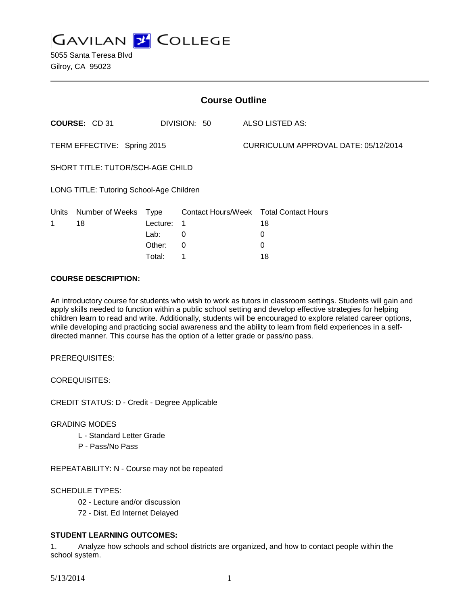**GAVILAN Z COLLEGE** 

| <b>Course Outline</b>                    |                 |          |                           |  |                                      |  |
|------------------------------------------|-----------------|----------|---------------------------|--|--------------------------------------|--|
|                                          | COURSE: CD 31   |          | DIVISION: 50              |  | ALSO LISTED AS:                      |  |
| TERM EFFECTIVE: Spring 2015              |                 |          |                           |  | CURRICULUM APPROVAL DATE: 05/12/2014 |  |
| SHORT TITLE: TUTOR/SCH-AGE CHILD         |                 |          |                           |  |                                      |  |
| LONG TITLE: Tutoring School-Age Children |                 |          |                           |  |                                      |  |
| Units                                    | Number of Weeks | Type     | <b>Contact Hours/Week</b> |  | <b>Total Contact Hours</b>           |  |
| 1                                        | 18              | Lecture: | 1                         |  | 18                                   |  |
|                                          |                 | Lab:     | 0                         |  | 0                                    |  |
|                                          |                 | Other:   | 0                         |  | 0                                    |  |

Total: 1 18

#### **COURSE DESCRIPTION:**

An introductory course for students who wish to work as tutors in classroom settings. Students will gain and apply skills needed to function within a public school setting and develop effective strategies for helping children learn to read and write. Additionally, students will be encouraged to explore related career options, while developing and practicing social awareness and the ability to learn from field experiences in a selfdirected manner. This course has the option of a letter grade or pass/no pass.

PREREQUISITES:

COREQUISITES:

CREDIT STATUS: D - Credit - Degree Applicable

#### GRADING MODES

- L Standard Letter Grade
- P Pass/No Pass

REPEATABILITY: N - Course may not be repeated

### SCHEDULE TYPES:

- 02 Lecture and/or discussion
- 72 Dist. Ed Internet Delayed

### **STUDENT LEARNING OUTCOMES:**

1. Analyze how schools and school districts are organized, and how to contact people within the school system.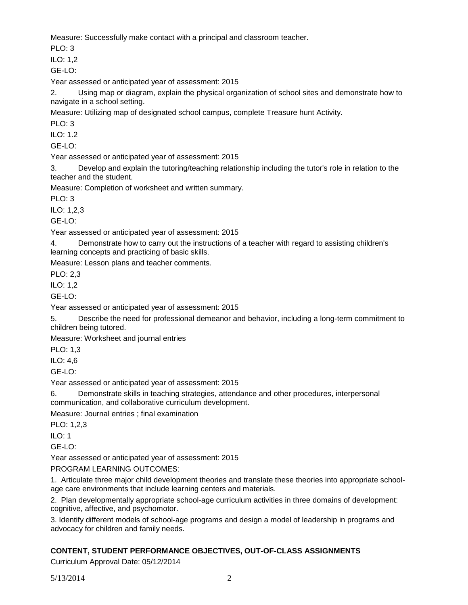Measure: Successfully make contact with a principal and classroom teacher.

 $PLO: 3$ 

ILO: 1,2

GE-LO:

Year assessed or anticipated year of assessment: 2015

2. Using map or diagram, explain the physical organization of school sites and demonstrate how to navigate in a school setting.

Measure: Utilizing map of designated school campus, complete Treasure hunt Activity.

PLO: 3

ILO: 1.2

GE-LO:

Year assessed or anticipated year of assessment: 2015

3. Develop and explain the tutoring/teaching relationship including the tutor's role in relation to the teacher and the student.

Measure: Completion of worksheet and written summary.

PLO: 3

ILO: 1,2,3

GE-LO:

Year assessed or anticipated year of assessment: 2015

4. Demonstrate how to carry out the instructions of a teacher with regard to assisting children's learning concepts and practicing of basic skills.

Measure: Lesson plans and teacher comments.

PLO: 2,3

ILO: 1,2

GE-LO:

Year assessed or anticipated year of assessment: 2015

5. Describe the need for professional demeanor and behavior, including a long-term commitment to children being tutored.

Measure: Worksheet and journal entries

PLO: 1,3

ILO: 4,6

 $GF-I O<sup>2</sup>$ 

Year assessed or anticipated year of assessment: 2015

6. Demonstrate skills in teaching strategies, attendance and other procedures, interpersonal communication, and collaborative curriculum development.

Measure: Journal entries ; final examination

PLO: 1,2,3

 $II$  O: 1

GE-LO:

Year assessed or anticipated year of assessment: 2015

PROGRAM LEARNING OUTCOMES:

1. Articulate three major child development theories and translate these theories into appropriate schoolage care environments that include learning centers and materials.

2. Plan developmentally appropriate school-age curriculum activities in three domains of development: cognitive, affective, and psychomotor.

3. Identify different models of school-age programs and design a model of leadership in programs and advocacy for children and family needs.

# **CONTENT, STUDENT PERFORMANCE OBJECTIVES, OUT-OF-CLASS ASSIGNMENTS**

Curriculum Approval Date: 05/12/2014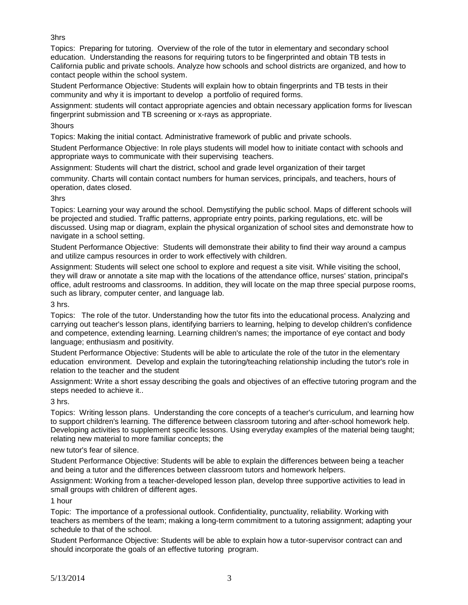3hrs

Topics: Preparing for tutoring. Overview of the role of the tutor in elementary and secondary school education. Understanding the reasons for requiring tutors to be fingerprinted and obtain TB tests in California public and private schools. Analyze how schools and school districts are organized, and how to contact people within the school system.

Student Performance Objective: Students will explain how to obtain fingerprints and TB tests in their community and why it is important to develop a portfolio of required forms.

Assignment: students will contact appropriate agencies and obtain necessary application forms for livescan fingerprint submission and TB screening or x-rays as appropriate.

# 3hours

Topics: Making the initial contact. Administrative framework of public and private schools.

Student Performance Objective: In role plays students will model how to initiate contact with schools and appropriate ways to communicate with their supervising teachers.

Assignment: Students will chart the district, school and grade level organization of their target

community. Charts will contain contact numbers for human services, principals, and teachers, hours of operation, dates closed.

## 3hrs

Topics: Learning your way around the school. Demystifying the public school. Maps of different schools will be projected and studied. Traffic patterns, appropriate entry points, parking regulations, etc. will be discussed. Using map or diagram, explain the physical organization of school sites and demonstrate how to navigate in a school setting.

Student Performance Objective: Students will demonstrate their ability to find their way around a campus and utilize campus resources in order to work effectively with children.

Assignment: Students will select one school to explore and request a site visit. While visiting the school, they will draw or annotate a site map with the locations of the attendance office, nurses' station, principal's office, adult restrooms and classrooms. In addition, they will locate on the map three special purpose rooms, such as library, computer center, and language lab.

3 hrs.

Topics: The role of the tutor. Understanding how the tutor fits into the educational process. Analyzing and carrying out teacher's lesson plans, identifying barriers to learning, helping to develop children's confidence and competence, extending learning. Learning children's names; the importance of eye contact and body language; enthusiasm and positivity.

Student Performance Objective: Students will be able to articulate the role of the tutor in the elementary education environment. Develop and explain the tutoring/teaching relationship including the tutor's role in relation to the teacher and the student

Assignment: Write a short essay describing the goals and objectives of an effective tutoring program and the steps needed to achieve it..

3 hrs.

Topics: Writing lesson plans. Understanding the core concepts of a teacher's curriculum, and learning how to support children's learning. The difference between classroom tutoring and after-school homework help. Developing activities to supplement specific lessons. Using everyday examples of the material being taught; relating new material to more familiar concepts; the

# new tutor's fear of silence.

Student Performance Objective: Students will be able to explain the differences between being a teacher and being a tutor and the differences between classroom tutors and homework helpers.

Assignment: Working from a teacher-developed lesson plan, develop three supportive activities to lead in small groups with children of different ages.

1 hour

Topic: The importance of a professional outlook. Confidentiality, punctuality, reliability. Working with teachers as members of the team; making a long-term commitment to a tutoring assignment; adapting your schedule to that of the school.

Student Performance Objective: Students will be able to explain how a tutor-supervisor contract can and should incorporate the goals of an effective tutoring program.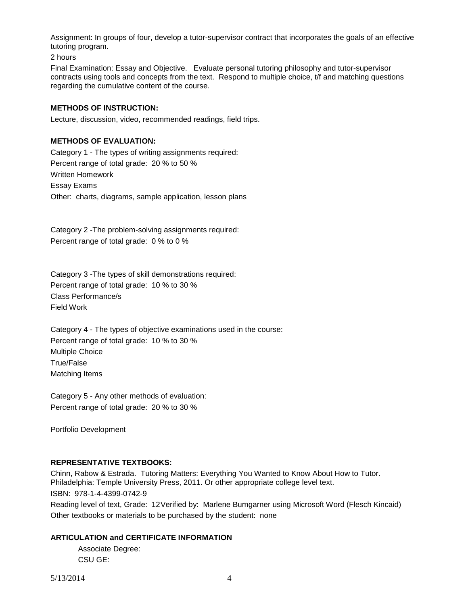Assignment: In groups of four, develop a tutor-supervisor contract that incorporates the goals of an effective tutoring program.

2 hours

Final Examination: Essay and Objective. Evaluate personal tutoring philosophy and tutor-supervisor contracts using tools and concepts from the text. Respond to multiple choice, t/f and matching questions regarding the cumulative content of the course.

### **METHODS OF INSTRUCTION:**

Lecture, discussion, video, recommended readings, field trips.

### **METHODS OF EVALUATION:**

Category 1 - The types of writing assignments required: Percent range of total grade: 20 % to 50 % Written Homework Essay Exams Other: charts, diagrams, sample application, lesson plans

Category 2 -The problem-solving assignments required: Percent range of total grade: 0 % to 0 %

Category 3 -The types of skill demonstrations required: Percent range of total grade: 10 % to 30 % Class Performance/s Field Work

Category 4 - The types of objective examinations used in the course: Percent range of total grade: 10 % to 30 % Multiple Choice True/False Matching Items

Category 5 - Any other methods of evaluation: Percent range of total grade: 20 % to 30 %

Portfolio Development

### **REPRESENTATIVE TEXTBOOKS:**

Chinn, Rabow & Estrada. Tutoring Matters: Everything You Wanted to Know About How to Tutor. Philadelphia: Temple University Press, 2011. Or other appropriate college level text. ISBN: 978-1-4-4399-0742-9 Reading level of text, Grade: 12Verified by: Marlene Bumgarner using Microsoft Word (Flesch Kincaid) Other textbooks or materials to be purchased by the student: none

### **ARTICULATION and CERTIFICATE INFORMATION**

Associate Degree: CSU GE: